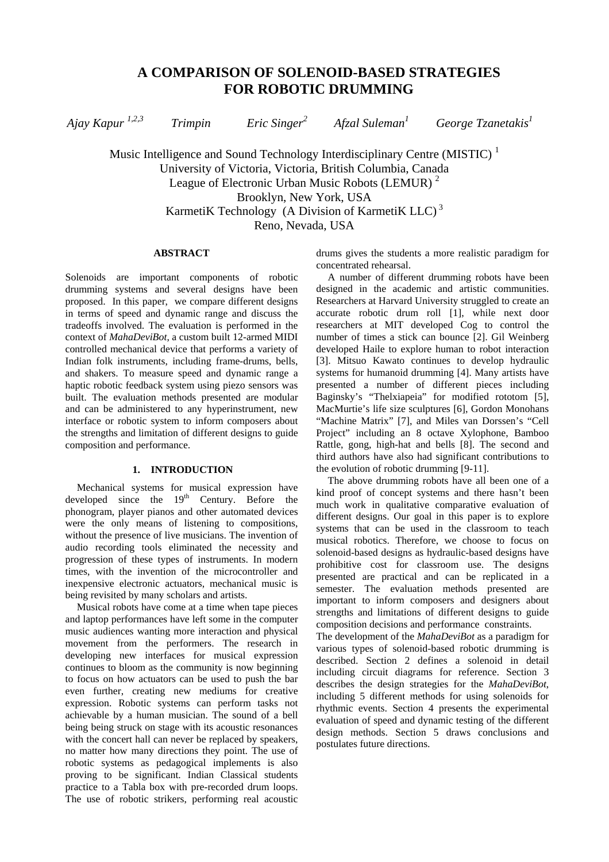*Ajay Kapur 1,2,3 Trimpin Eric Singer<sup>2</sup> Afzal Suleman1 George Tzanetakis<sup>1</sup>*

Music Intelligence and Sound Technology Interdisciplinary Centre (MISTIC)<sup> $1$ </sup> University of Victoria, Victoria, British Columbia, Canada League of Electronic Urban Music Robots (LEMUR)<sup>2</sup> Brooklyn, New York, USA KarmetiK Technology (A Division of KarmetiK LLC)<sup>3</sup> Reno, Nevada, USA

## **ABSTRACT**

Solenoids are important components of robotic drumming systems and several designs have been proposed. In this paper, we compare different designs in terms of speed and dynamic range and discuss the tradeoffs involved. The evaluation is performed in the context of *MahaDeviBot*, a custom built 12-armed MIDI controlled mechanical device that performs a variety of Indian folk instruments, including frame-drums, bells, and shakers. To measure speed and dynamic range a haptic robotic feedback system using piezo sensors was built. The evaluation methods presented are modular and can be administered to any hyperinstrument, new interface or robotic system to inform composers about the strengths and limitation of different designs to guide composition and performance.

# **1. INTRODUCTION**

Mechanical systems for musical expression have developed since the  $19<sup>th</sup>$  Century. Before the phonogram, player pianos and other automated devices were the only means of listening to compositions, without the presence of live musicians. The invention of audio recording tools eliminated the necessity and progression of these types of instruments. In modern times, with the invention of the microcontroller and inexpensive electronic actuators, mechanical music is being revisited by many scholars and artists.

Musical robots have come at a time when tape pieces and laptop performances have left some in the computer music audiences wanting more interaction and physical movement from the performers. The research in developing new interfaces for musical expression continues to bloom as the community is now beginning to focus on how actuators can be used to push the bar even further, creating new mediums for creative expression. Robotic systems can perform tasks not achievable by a human musician. The sound of a bell being being struck on stage with its acoustic resonances with the concert hall can never be replaced by speakers, no matter how many directions they point. The use of robotic systems as pedagogical implements is also proving to be significant. Indian Classical students practice to a Tabla box with pre-recorded drum loops. The use of robotic strikers, performing real acoustic

drums gives the students a more realistic paradigm for concentrated rehearsal.

A number of different drumming robots have been designed in the academic and artistic communities. Researchers at Harvard University struggled to create an accurate robotic drum roll [1], while next door researchers at MIT developed Cog to control the number of times a stick can bounce [2]. Gil Weinberg developed Haile to explore human to robot interaction [3]. Mitsuo Kawato continues to develop hydraulic systems for humanoid drumming [4]. Many artists have presented a number of different pieces including Baginsky's "Thelxiapeia" for modified rototom [5], MacMurtie's life size sculptures [6], Gordon Monohans "Machine Matrix" [7], and Miles van Dorssen's "Cell Project" including an 8 octave Xylophone, Bamboo Rattle, gong, high-hat and bells [8]. The second and third authors have also had significant contributions to the evolution of robotic drumming [9-11].

The above drumming robots have all been one of a kind proof of concept systems and there hasn't been much work in qualitative comparative evaluation of different designs. Our goal in this paper is to explore systems that can be used in the classroom to teach musical robotics. Therefore, we choose to focus on solenoid-based designs as hydraulic-based designs have prohibitive cost for classroom use. The designs presented are practical and can be replicated in a semester. The evaluation methods presented are important to inform composers and designers about strengths and limitations of different designs to guide composition decisions and performance constraints.

The development of the *MahaDeviBot* as a paradigm for various types of solenoid-based robotic drumming is described. Section 2 defines a solenoid in detail including circuit diagrams for reference. Section 3 describes the design strategies for the *MahaDeviBot*, including 5 different methods for using solenoids for rhythmic events. Section 4 presents the experimental evaluation of speed and dynamic testing of the different design methods. Section 5 draws conclusions and postulates future directions.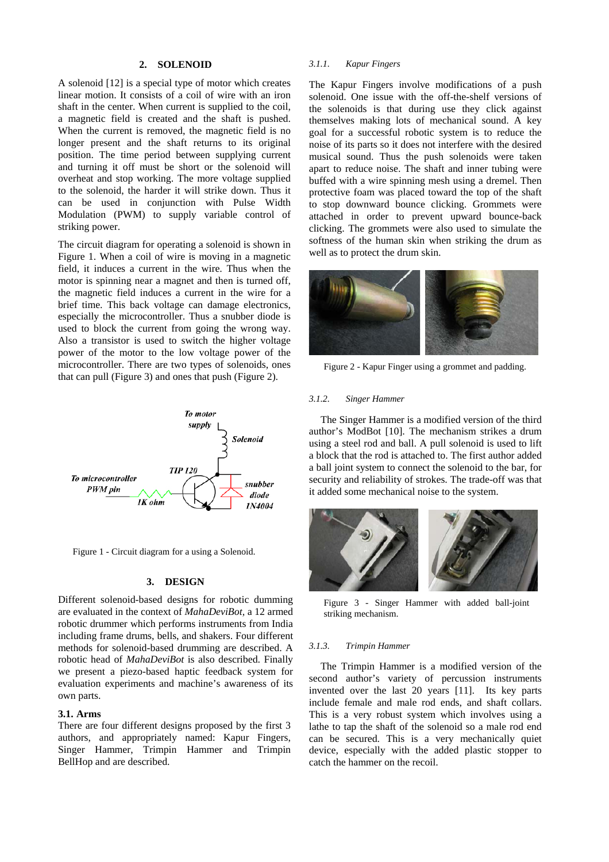## **2. SOLENOID**

A solenoid [12] is a special type of motor which creates linear motion. It consists of a coil of wire with an iron shaft in the center. When current is supplied to the coil, a magnetic field is created and the shaft is pushed. When the current is removed, the magnetic field is no longer present and the shaft returns to its original position. The time period between supplying current and turning it off must be short or the solenoid will overheat and stop working. The more voltage supplied to the solenoid, the harder it will strike down. Thus it can be used in conjunction with Pulse Width Modulation (PWM) to supply variable control of striking power.

The circuit diagram for operating a solenoid is shown in Figure 1. When a coil of wire is moving in a magnetic field, it induces a current in the wire. Thus when the motor is spinning near a magnet and then is turned off, the magnetic field induces a current in the wire for a brief time. This back voltage can damage electronics, especially the microcontroller. Thus a snubber diode is used to block the current from going the wrong way. Also a transistor is used to switch the higher voltage power of the motor to the low voltage power of the microcontroller. There are two types of solenoids, ones that can pull (Figure 3) and ones that push (Figure 2).



Figure 1 - Circuit diagram for a using a Solenoid.

### **3. DESIGN**

Different solenoid-based designs for robotic dumming are evaluated in the context of *MahaDeviBot,* a 12 armed robotic drummer which performs instruments from India including frame drums, bells, and shakers. Four different methods for solenoid-based drumming are described. A robotic head of *MahaDeviBot* is also described. Finally we present a piezo-based haptic feedback system for evaluation experiments and machine's awareness of its own parts.

#### **3.1. Arms**

There are four different designs proposed by the first 3 authors, and appropriately named: Kapur Fingers, Singer Hammer, Trimpin Hammer and Trimpin BellHop and are described.

## *3.1.1. Kapur Fingers*

The Kapur Fingers involve modifications of a push solenoid. One issue with the off-the-shelf versions of the solenoids is that during use they click against themselves making lots of mechanical sound. A key goal for a successful robotic system is to reduce the noise of its parts so it does not interfere with the desired musical sound. Thus the push solenoids were taken apart to reduce noise. The shaft and inner tubing were buffed with a wire spinning mesh using a dremel. Then protective foam was placed toward the top of the shaft to stop downward bounce clicking. Grommets were attached in order to prevent upward bounce-back clicking. The grommets were also used to simulate the softness of the human skin when striking the drum as well as to protect the drum skin.



Figure 2 - Kapur Finger using a grommet and padding.

#### *3.1.2. Singer Hammer*

The Singer Hammer is a modified version of the third author's ModBot [10]. The mechanism strikes a drum using a steel rod and ball. A pull solenoid is used to lift a block that the rod is attached to. The first author added a ball joint system to connect the solenoid to the bar, for security and reliability of strokes. The trade-off was that it added some mechanical noise to the system.



Figure 3 - Singer Hammer with added ball-joint striking mechanism.

### *3.1.3. Trimpin Hammer*

The Trimpin Hammer is a modified version of the second author's variety of percussion instruments invented over the last 20 years [11]. Its key parts include female and male rod ends, and shaft collars. This is a very robust system which involves using a lathe to tap the shaft of the solenoid so a male rod end can be secured. This is a very mechanically quiet device, especially with the added plastic stopper to catch the hammer on the recoil.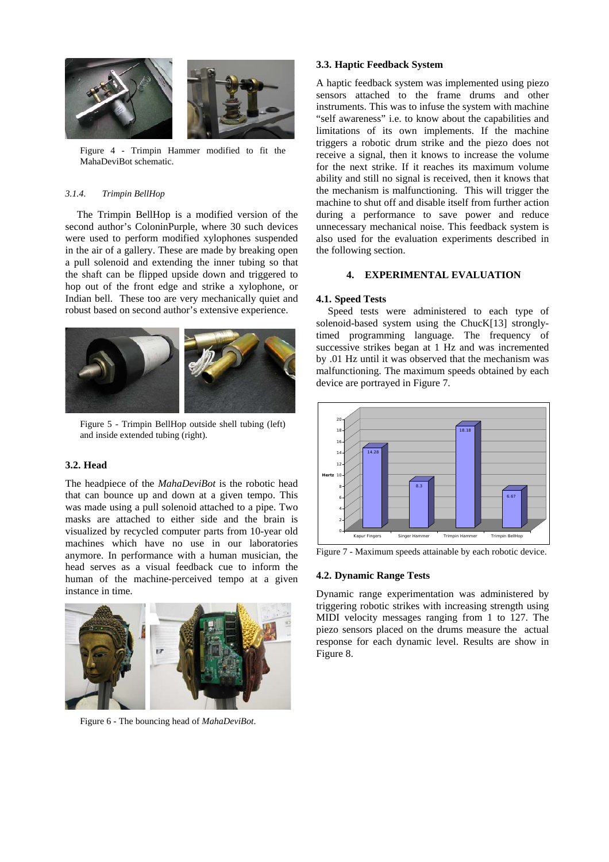

Figure 4 - Trimpin Hammer modified to fit the MahaDeviBot schematic.

### *3.1.4. Trimpin BellHop*

The Trimpin BellHop is a modified version of the second author's ColoninPurple, where 30 such devices were used to perform modified xylophones suspended in the air of a gallery. These are made by breaking open a pull solenoid and extending the inner tubing so that the shaft can be flipped upside down and triggered to hop out of the front edge and strike a xylophone, or Indian bell. These too are very mechanically quiet and robust based on second author's extensive experience.



Figure 5 - Trimpin BellHop outside shell tubing (left) and inside extended tubing (right).

## **3.2. Head**

The headpiece of the *MahaDeviBot* is the robotic head that can bounce up and down at a given tempo. This was made using a pull solenoid attached to a pipe. Two masks are attached to either side and the brain is visualized by recycled computer parts from 10-year old machines which have no use in our laboratories anymore. In performance with a human musician, the head serves as a visual feedback cue to inform the human of the machine-perceived tempo at a given instance in time.



Figure 6 - The bouncing head of *MahaDeviBot*.

## **3.3. Haptic Feedback System**

A haptic feedback system was implemented using piezo sensors attached to the frame drums and other instruments. This was to infuse the system with machine "self awareness" i.e. to know about the capabilities and limitations of its own implements. If the machine triggers a robotic drum strike and the piezo does not receive a signal, then it knows to increase the volume for the next strike. If it reaches its maximum volume ability and still no signal is received, then it knows that the mechanism is malfunctioning. This will trigger the machine to shut off and disable itself from further action during a performance to save power and reduce unnecessary mechanical noise. This feedback system is also used for the evaluation experiments described in the following section.

## **4. EXPERIMENTAL EVALUATION**

# **4.1. Speed Tests**

Speed tests were administered to each type of solenoid-based system using the ChucK[13] stronglytimed programming language. The frequency of successive strikes began at 1 Hz and was incremented by .01 Hz until it was observed that the mechanism was malfunctioning. The maximum speeds obtained by each device are portrayed in Figure 7.



Figure 7 - Maximum speeds attainable by each robotic device.

### **4.2. Dynamic Range Tests**

Dynamic range experimentation was administered by triggering robotic strikes with increasing strength using MIDI velocity messages ranging from 1 to 127. The piezo sensors placed on the drums measure the actual response for each dynamic level. Results are show in Figure 8.